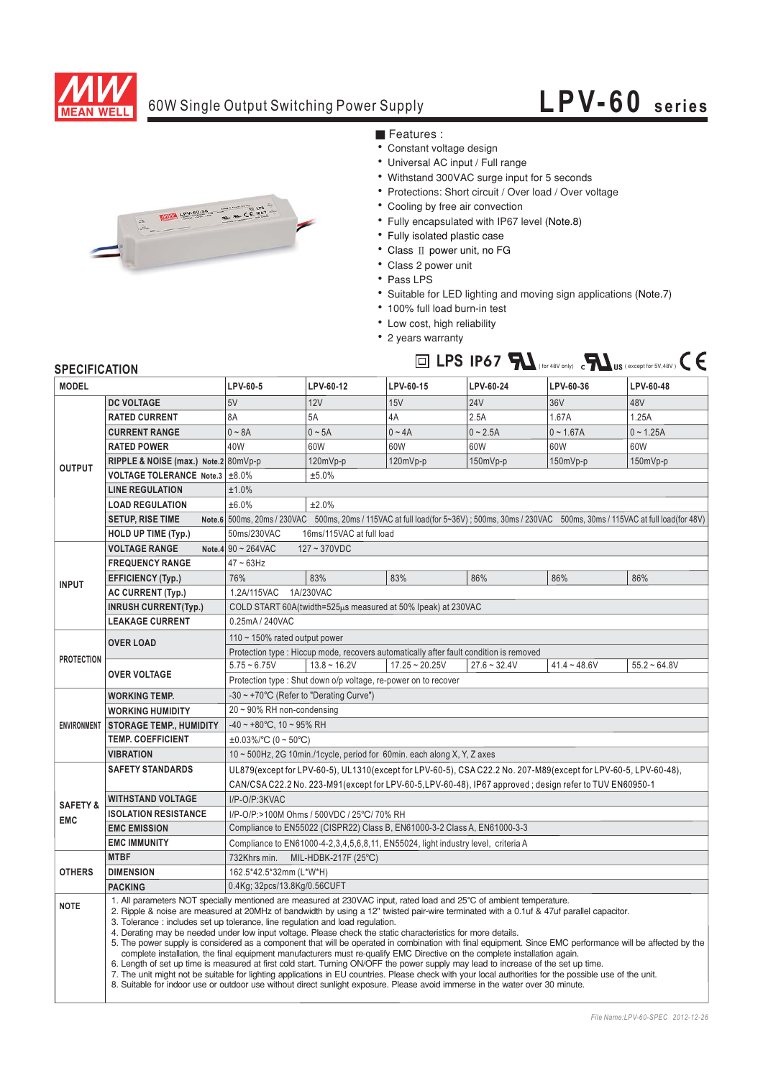

## 60W Single Output Switching Power Supply

## **LPV-60 series**



■ Features :

- Constant voltage design
- Universal AC input / Full range
- Withstand 300VAC surge input for 5 seconds
- Protections: Short circuit / Over load / Over voltage
- Cooling by free air convection
- Fully encapsulated with IP67 level (Note.8)
- Fully isolated plastic case
- Class II power unit, no FG
- Class 2 power unit
- Pass LPS
- Suitable for LED lighting and moving sign applications (Note.7)

 $\Box$  LPS IP67  $\blacksquare$  (for 48V only) c $\blacksquare$  US (except for 5V,48V)  $\mathsf{C}\in$ 

- 100% full load burn-in test
- Low cost, high reliability
- 2 years warranty

## **SPECIFICATION**

| <b>MODEL</b>                      |                                                                                                                                                                                                                                                                                                                                                                                                                                                                                                                                                                                                                                                                                                                                                                                                                                                                                                                                                                                                                                                                                                                                                                                                | LPV-60-5                                                                                                                                  | LPV-60-12      | LPV-60-15        | LPV-60-24      | LPV-60-36      | LPV-60-48      |
|-----------------------------------|------------------------------------------------------------------------------------------------------------------------------------------------------------------------------------------------------------------------------------------------------------------------------------------------------------------------------------------------------------------------------------------------------------------------------------------------------------------------------------------------------------------------------------------------------------------------------------------------------------------------------------------------------------------------------------------------------------------------------------------------------------------------------------------------------------------------------------------------------------------------------------------------------------------------------------------------------------------------------------------------------------------------------------------------------------------------------------------------------------------------------------------------------------------------------------------------|-------------------------------------------------------------------------------------------------------------------------------------------|----------------|------------------|----------------|----------------|----------------|
| <b>OUTPUT</b>                     | <b>DC VOLTAGE</b>                                                                                                                                                                                                                                                                                                                                                                                                                                                                                                                                                                                                                                                                                                                                                                                                                                                                                                                                                                                                                                                                                                                                                                              | 5V                                                                                                                                        | 12V            | 15V              | <b>24V</b>     | 36V            | 48V            |
|                                   | <b>RATED CURRENT</b>                                                                                                                                                                                                                                                                                                                                                                                                                                                                                                                                                                                                                                                                                                                                                                                                                                                                                                                                                                                                                                                                                                                                                                           | 8A                                                                                                                                        | 5A             | 4A               | 2.5A           | 1.67A          | 1.25A          |
|                                   | <b>CURRENT RANGE</b>                                                                                                                                                                                                                                                                                                                                                                                                                                                                                                                                                                                                                                                                                                                                                                                                                                                                                                                                                                                                                                                                                                                                                                           | $0 - 8A$                                                                                                                                  | $0 \sim 5A$    | $0 - 4A$         | $0 - 2.5A$     | $0 - 1.67A$    | $0 - 1.25A$    |
|                                   | <b>RATED POWER</b>                                                                                                                                                                                                                                                                                                                                                                                                                                                                                                                                                                                                                                                                                                                                                                                                                                                                                                                                                                                                                                                                                                                                                                             | 40W                                                                                                                                       | 60W            | 60W              | 60W            | 60W            | 60W            |
|                                   | RIPPLE & NOISE (max.) Note.2 80mVp-p                                                                                                                                                                                                                                                                                                                                                                                                                                                                                                                                                                                                                                                                                                                                                                                                                                                                                                                                                                                                                                                                                                                                                           |                                                                                                                                           | 120mVp-p       | 120mVp-p         | 150mVp-p       | $150mVp-p$     | 150mVp-p       |
|                                   | VOLTAGE TOLERANCE Note.3 ±8.0%                                                                                                                                                                                                                                                                                                                                                                                                                                                                                                                                                                                                                                                                                                                                                                                                                                                                                                                                                                                                                                                                                                                                                                 |                                                                                                                                           | ±5.0%          |                  |                |                |                |
|                                   | <b>LINE REGULATION</b>                                                                                                                                                                                                                                                                                                                                                                                                                                                                                                                                                                                                                                                                                                                                                                                                                                                                                                                                                                                                                                                                                                                                                                         | ±1.0%                                                                                                                                     |                |                  |                |                |                |
|                                   | <b>LOAD REGULATION</b>                                                                                                                                                                                                                                                                                                                                                                                                                                                                                                                                                                                                                                                                                                                                                                                                                                                                                                                                                                                                                                                                                                                                                                         | ±6.0%<br>±2.0%                                                                                                                            |                |                  |                |                |                |
|                                   | <b>SETUP, RISE TIME</b>                                                                                                                                                                                                                                                                                                                                                                                                                                                                                                                                                                                                                                                                                                                                                                                                                                                                                                                                                                                                                                                                                                                                                                        | Note.6 500ms, 20ms / 230VAC 500ms, 20ms / 115VAC at full load(for 5~36V); 500ms, 30ms / 230VAC 500ms, 30ms / 115VAC at full load(for 48V) |                |                  |                |                |                |
|                                   | HOLD UP TIME (Typ.)                                                                                                                                                                                                                                                                                                                                                                                                                                                                                                                                                                                                                                                                                                                                                                                                                                                                                                                                                                                                                                                                                                                                                                            | 50ms/230VAC<br>16ms/115VAC at full load                                                                                                   |                |                  |                |                |                |
|                                   | <b>VOLTAGE RANGE</b>                                                                                                                                                                                                                                                                                                                                                                                                                                                                                                                                                                                                                                                                                                                                                                                                                                                                                                                                                                                                                                                                                                                                                                           | Note.4 $90 \sim 264$ VAC<br>$127 - 370VDC$                                                                                                |                |                  |                |                |                |
| <b>INPUT</b>                      | <b>FREQUENCY RANGE</b>                                                                                                                                                                                                                                                                                                                                                                                                                                                                                                                                                                                                                                                                                                                                                                                                                                                                                                                                                                                                                                                                                                                                                                         | $47 - 63$ Hz                                                                                                                              |                |                  |                |                |                |
|                                   | <b>EFFICIENCY (Typ.)</b>                                                                                                                                                                                                                                                                                                                                                                                                                                                                                                                                                                                                                                                                                                                                                                                                                                                                                                                                                                                                                                                                                                                                                                       | 76%                                                                                                                                       | 83%            | 83%              | 86%            | 86%            | 86%            |
|                                   | <b>AC CURRENT (Typ.)</b>                                                                                                                                                                                                                                                                                                                                                                                                                                                                                                                                                                                                                                                                                                                                                                                                                                                                                                                                                                                                                                                                                                                                                                       | 1.2A/115VAC<br>1A/230VAC                                                                                                                  |                |                  |                |                |                |
|                                   | <b>INRUSH CURRENT(Typ.)</b>                                                                                                                                                                                                                                                                                                                                                                                                                                                                                                                                                                                                                                                                                                                                                                                                                                                                                                                                                                                                                                                                                                                                                                    | COLD START 60A(twidth=525µs measured at 50% Ipeak) at 230VAC                                                                              |                |                  |                |                |                |
|                                   | <b>LEAKAGE CURRENT</b>                                                                                                                                                                                                                                                                                                                                                                                                                                                                                                                                                                                                                                                                                                                                                                                                                                                                                                                                                                                                                                                                                                                                                                         | 0.25mA / 240VAC                                                                                                                           |                |                  |                |                |                |
| <b>PROTECTION</b>                 | <b>OVER LOAD</b>                                                                                                                                                                                                                                                                                                                                                                                                                                                                                                                                                                                                                                                                                                                                                                                                                                                                                                                                                                                                                                                                                                                                                                               | 110 $\sim$ 150% rated output power                                                                                                        |                |                  |                |                |                |
|                                   |                                                                                                                                                                                                                                                                                                                                                                                                                                                                                                                                                                                                                                                                                                                                                                                                                                                                                                                                                                                                                                                                                                                                                                                                | Protection type : Hiccup mode, recovers automatically after fault condition is removed                                                    |                |                  |                |                |                |
|                                   | <b>OVER VOLTAGE</b>                                                                                                                                                                                                                                                                                                                                                                                                                                                                                                                                                                                                                                                                                                                                                                                                                                                                                                                                                                                                                                                                                                                                                                            | $5.75 - 6.75V$                                                                                                                            | $13.8 - 16.2V$ | $17.25 - 20.25V$ | $27.6 - 32.4V$ | $41.4 - 48.6V$ | $55.2 - 64.8V$ |
|                                   |                                                                                                                                                                                                                                                                                                                                                                                                                                                                                                                                                                                                                                                                                                                                                                                                                                                                                                                                                                                                                                                                                                                                                                                                | Protection type : Shut down o/p voltage, re-power on to recover                                                                           |                |                  |                |                |                |
| <b>ENVIRONMENT</b>                | <b>WORKING TEMP.</b>                                                                                                                                                                                                                                                                                                                                                                                                                                                                                                                                                                                                                                                                                                                                                                                                                                                                                                                                                                                                                                                                                                                                                                           | -30 ~ +70°C (Refer to "Derating Curve")                                                                                                   |                |                  |                |                |                |
|                                   | <b>WORKING HUMIDITY</b>                                                                                                                                                                                                                                                                                                                                                                                                                                                                                                                                                                                                                                                                                                                                                                                                                                                                                                                                                                                                                                                                                                                                                                        | $20 \sim 90\%$ RH non-condensing                                                                                                          |                |                  |                |                |                |
|                                   | <b>STORAGE TEMP., HUMIDITY</b>                                                                                                                                                                                                                                                                                                                                                                                                                                                                                                                                                                                                                                                                                                                                                                                                                                                                                                                                                                                                                                                                                                                                                                 | $-40 \sim +80^{\circ}$ C, 10 ~ 95% RH                                                                                                     |                |                  |                |                |                |
|                                   | <b>TEMP. COEFFICIENT</b>                                                                                                                                                                                                                                                                                                                                                                                                                                                                                                                                                                                                                                                                                                                                                                                                                                                                                                                                                                                                                                                                                                                                                                       | $\pm 0.03\%$ °C (0 ~ 50°C)                                                                                                                |                |                  |                |                |                |
|                                   | <b>VIBRATION</b>                                                                                                                                                                                                                                                                                                                                                                                                                                                                                                                                                                                                                                                                                                                                                                                                                                                                                                                                                                                                                                                                                                                                                                               | 10 ~ 500Hz, 2G 10min./1cycle, period for 60min. each along X, Y, Z axes                                                                   |                |                  |                |                |                |
| <b>SAFETY &amp;</b><br><b>EMC</b> | <b>SAFETY STANDARDS</b>                                                                                                                                                                                                                                                                                                                                                                                                                                                                                                                                                                                                                                                                                                                                                                                                                                                                                                                                                                                                                                                                                                                                                                        | UL879(except for LPV-60-5), UL1310(except for LPV-60-5), CSA C22.2 No. 207-M89(except for LPV-60-5, LPV-60-48),                           |                |                  |                |                |                |
|                                   |                                                                                                                                                                                                                                                                                                                                                                                                                                                                                                                                                                                                                                                                                                                                                                                                                                                                                                                                                                                                                                                                                                                                                                                                | CAN/CSA C22.2 No. 223-M91(except for LPV-60-5,LPV-60-48), IP67 approved; design refer to TUV EN60950-1                                    |                |                  |                |                |                |
|                                   | <b>WITHSTAND VOLTAGE</b>                                                                                                                                                                                                                                                                                                                                                                                                                                                                                                                                                                                                                                                                                                                                                                                                                                                                                                                                                                                                                                                                                                                                                                       | I/P-O/P:3KVAC                                                                                                                             |                |                  |                |                |                |
|                                   | <b>ISOLATION RESISTANCE</b>                                                                                                                                                                                                                                                                                                                                                                                                                                                                                                                                                                                                                                                                                                                                                                                                                                                                                                                                                                                                                                                                                                                                                                    | I/P-O/P:>100M Ohms / 500VDC / 25°C/ 70% RH                                                                                                |                |                  |                |                |                |
|                                   | <b>EMC EMISSION</b>                                                                                                                                                                                                                                                                                                                                                                                                                                                                                                                                                                                                                                                                                                                                                                                                                                                                                                                                                                                                                                                                                                                                                                            | Compliance to EN55022 (CISPR22) Class B, EN61000-3-2 Class A, EN61000-3-3                                                                 |                |                  |                |                |                |
|                                   | <b>EMC IMMUNITY</b>                                                                                                                                                                                                                                                                                                                                                                                                                                                                                                                                                                                                                                                                                                                                                                                                                                                                                                                                                                                                                                                                                                                                                                            | Compliance to EN61000-4-2,3,4,5,6,8,11, EN55024, light industry level, criteria A                                                         |                |                  |                |                |                |
| <b>OTHERS</b>                     | <b>MTBF</b>                                                                                                                                                                                                                                                                                                                                                                                                                                                                                                                                                                                                                                                                                                                                                                                                                                                                                                                                                                                                                                                                                                                                                                                    | 732Khrs min.<br>MIL-HDBK-217F (25°C)                                                                                                      |                |                  |                |                |                |
|                                   | <b>DIMENSION</b>                                                                                                                                                                                                                                                                                                                                                                                                                                                                                                                                                                                                                                                                                                                                                                                                                                                                                                                                                                                                                                                                                                                                                                               | 162.5*42.5*32mm (L*W*H)                                                                                                                   |                |                  |                |                |                |
|                                   | <b>PACKING</b>                                                                                                                                                                                                                                                                                                                                                                                                                                                                                                                                                                                                                                                                                                                                                                                                                                                                                                                                                                                                                                                                                                                                                                                 | 0.4Kg; 32pcs/13.8Kg/0.56CUFT                                                                                                              |                |                  |                |                |                |
| <b>NOTE</b>                       | 1. All parameters NOT specially mentioned are measured at 230VAC input, rated load and 25°C of ambient temperature.<br>2. Ripple & noise are measured at 20MHz of bandwidth by using a 12" twisted pair-wire terminated with a 0.1uf & 47uf parallel capacitor.<br>3. Tolerance : includes set up tolerance, line regulation and load regulation.<br>4. Derating may be needed under low input voltage. Please check the static characteristics for more details.<br>5. The power supply is considered as a component that will be operated in combination with final equipment. Since EMC performance will be affected by the<br>complete installation, the final equipment manufacturers must re-qualify EMC Directive on the complete installation again.<br>6. Length of set up time is measured at first cold start. Turning ON/OFF the power supply may lead to increase of the set up time.<br>7. The unit might not be suitable for lighting applications in EU countries. Please check with your local authorities for the possible use of the unit.<br>8. Suitable for indoor use or outdoor use without direct sunlight exposure. Please avoid immerse in the water over 30 minute. |                                                                                                                                           |                |                  |                |                |                |